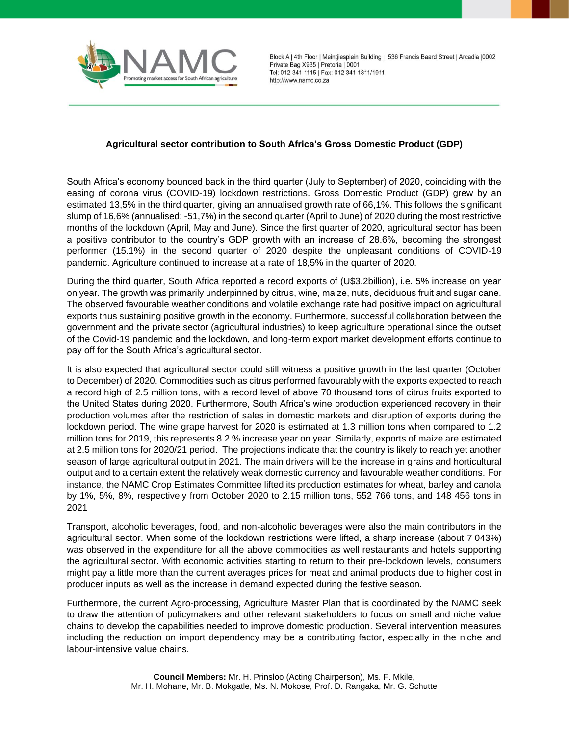

Block A | 4th Floor | Meintjiesplein Building | 536 Francis Baard Street | Arcadia | 0002 Private Bag X935 | Pretoria | 0001 Tel: 012 341 1115 | Fax: 012 341 1811/1911 http://www.namc.co.za

## **Agricultural sector contribution to South Africa's Gross Domestic Product (GDP)**

South Africa's economy bounced back in the third quarter (July to September) of 2020, coinciding with the easing of corona virus (COVID-19) lockdown restrictions. Gross Domestic Product (GDP) grew by an estimated 13,5% in the third quarter, giving an annualised growth rate of 66,1%. This follows the significant slump of 16,6% (annualised: -51,7%) in the second quarter (April to June) of 2020 during the most restrictive months of the lockdown (April, May and June). Since the first quarter of 2020, agricultural sector has been a positive contributor to the country's GDP growth with an increase of 28.6%, becoming the strongest performer (15.1%) in the second quarter of 2020 despite the unpleasant conditions of COVID-19 pandemic. Agriculture continued to increase at a rate of 18,5% in the quarter of 2020.

During the third quarter, South Africa reported a record exports of (U\$3.2billion), i.e. 5% increase on year on year. The growth was primarily underpinned by citrus, wine, maize, nuts, deciduous fruit and sugar cane. The observed favourable weather conditions and volatile exchange rate had positive impact on agricultural exports thus sustaining positive growth in the economy. Furthermore, successful collaboration between the government and the private sector (agricultural industries) to keep agriculture operational since the outset of the Covid-19 pandemic and the lockdown, and long-term export market development efforts continue to pay off for the South Africa's agricultural sector.

It is also expected that agricultural sector could still witness a positive growth in the last quarter (October to December) of 2020. Commodities such as citrus performed favourably with the exports expected to reach a record high of 2.5 million tons, with a record level of above 70 thousand tons of citrus fruits exported to the United States during 2020. Furthermore, South Africa's wine production experienced recovery in their production volumes after the restriction of sales in domestic markets and disruption of exports during the lockdown period. The wine grape harvest for 2020 is estimated at 1.3 million tons when compared to 1.2 million tons for 2019, this represents 8.2 % increase year on year. Similarly, exports of maize are estimated at 2.5 million tons for 2020/21 period. The projections indicate that the country is likely to reach yet another season of large agricultural output in 2021. The main drivers will be the increase in grains and horticultural output and to a certain extent the relatively weak domestic currency and favourable weather conditions. For instance, the NAMC Crop Estimates Committee lifted its production estimates for wheat, barley and canola by 1%, 5%, 8%, respectively from October 2020 to 2.15 million tons, 552 766 tons, and 148 456 tons in 2021

Transport, alcoholic beverages, food, and non-alcoholic beverages were also the main contributors in the agricultural sector. When some of the lockdown restrictions were lifted, a sharp increase (about 7 043%) was observed in the expenditure for all the above commodities as well restaurants and hotels supporting the agricultural sector. With economic activities starting to return to their pre-lockdown levels, consumers might pay a little more than the current averages prices for meat and animal products due to higher cost in producer inputs as well as the increase in demand expected during the festive season.

Furthermore, the current Agro-processing, Agriculture Master Plan that is coordinated by the NAMC seek to draw the attention of policymakers and other relevant stakeholders to focus on small and niche value chains to develop the capabilities needed to improve domestic production. Several intervention measures including the reduction on import dependency may be a contributing factor, especially in the niche and labour-intensive value chains.